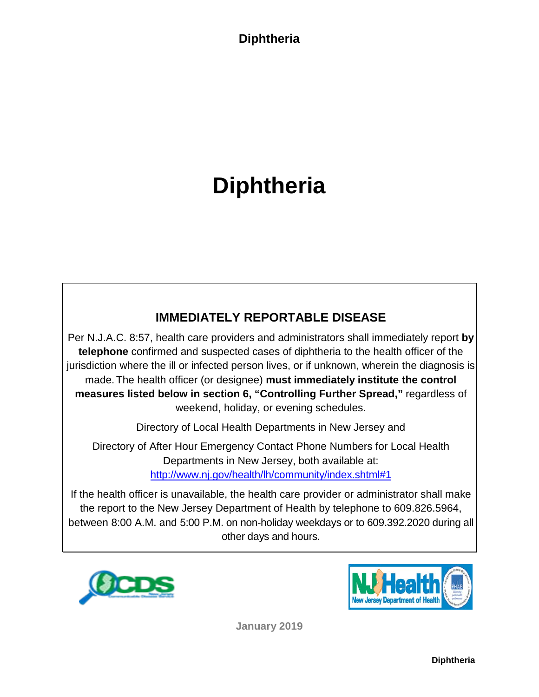**Diphtheria**

### **Diphtheria**

### **IMMEDIATELY REPORTABLE DISEASE**

Per N.J.A.C. 8:57, health care providers and administrators shall immediately report **by telephone** confirmed and suspected cases of diphtheria to the health officer of the jurisdiction where the ill or infected person lives, or if unknown, wherein the diagnosis is made.The health officer (or designee) **must immediately institute the control measures listed below in section 6, "Controlling Further Spread,"** regardless of weekend, holiday, or evening schedules.

Directory of Local Health Departments in New Jersey and

Directory of After Hour Emergency Contact Phone Numbers for Local Health Departments in New Jersey, both available at: <http://www.nj.gov/health/lh/community/index.shtml#1>

If the health officer is unavailable, the health care provider or administrator shall make the report to the New Jersey Department of Health by telephone to 609.826.5964, between 8:00 A.M. and 5:00 P.M. on non-holiday weekdays or to 609.392.2020 during all other days and hours.





**January 2019**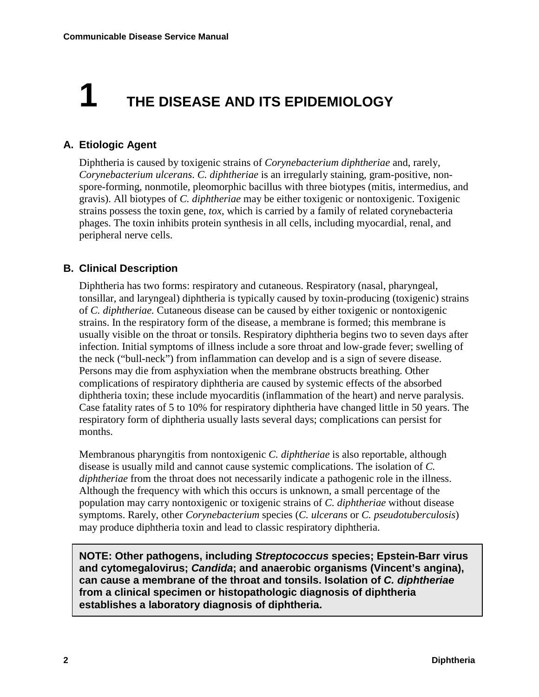## **1 THE DISEASE AND ITS EPIDEMIOLOGY**

#### **A. Etiologic Agent**

Diphtheria is caused by toxigenic strains of *Corynebacterium diphtheriae* and, rarely, *Corynebacterium ulcerans*. *C. diphtheriae* is an irregularly staining, gram-positive, nonspore-forming, nonmotile, pleomorphic bacillus with three biotypes (mitis, intermedius, and gravis). All biotypes of *C. diphtheriae* may be either toxigenic or nontoxigenic. Toxigenic strains possess the toxin gene, *tox*, which is carried by a family of related corynebacteria phages. The toxin inhibits protein synthesis in all cells, including myocardial, renal, and peripheral nerve cells.

#### **B. Clinical Description**

Diphtheria has two forms: respiratory and cutaneous. Respiratory (nasal, pharyngeal, tonsillar, and laryngeal) diphtheria is typically caused by toxin-producing (toxigenic) strains of *C. diphtheriae.* Cutaneous disease can be caused by either toxigenic or nontoxigenic strains. In the respiratory form of the disease, a membrane is formed; this membrane is usually visible on the throat or tonsils. Respiratory diphtheria begins two to seven days after infection. Initial symptoms of illness include a sore throat and low-grade fever; swelling of the neck ("bull-neck") from inflammation can develop and is a sign of severe disease. Persons may die from asphyxiation when the membrane obstructs breathing. Other complications of respiratory diphtheria are caused by systemic effects of the absorbed diphtheria toxin; these include myocarditis (inflammation of the heart) and nerve paralysis. Case fatality rates of 5 to 10% for respiratory diphtheria have changed little in 50 years. The respiratory form of diphtheria usually lasts several days; complications can persist for months.

Membranous pharyngitis from nontoxigenic *C. diphtheriae* is also reportable, although disease is usually mild and cannot cause systemic complications. The isolation of *C. diphtheriae* from the throat does not necessarily indicate a pathogenic role in the illness. Although the frequency with which this occurs is unknown, a small percentage of the population may carry nontoxigenic or toxigenic strains of *C. diphtheriae* without disease symptoms. Rarely, other *Corynebacterium* species (*C. ulcerans* or *C. pseudotuberculosis*) may produce diphtheria toxin and lead to classic respiratory diphtheria.

**NOTE: Other pathogens, including** *Streptococcus* **species; Epstein-Barr virus and cytomegalovirus;** *Candida***; and anaerobic organisms (Vincent's angina), can cause a membrane of the throat and tonsils. Isolation of** *C. diphtheriae* **from a clinical specimen or histopathologic diagnosis of diphtheria establishes a laboratory diagnosis of diphtheria.**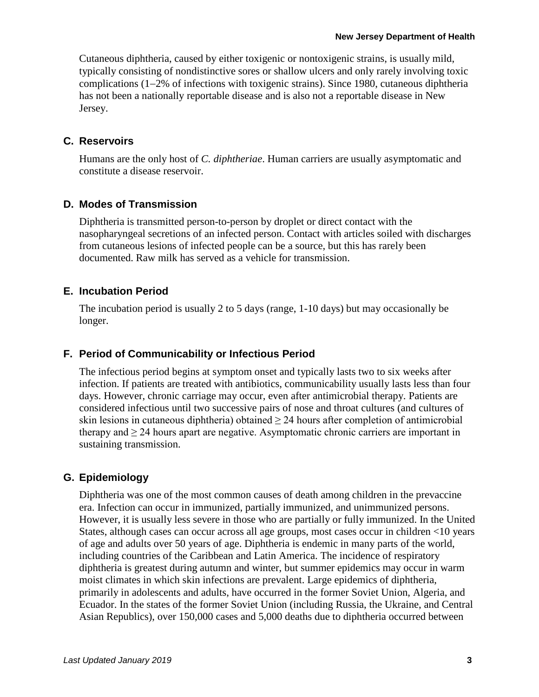Cutaneous diphtheria, caused by either toxigenic or nontoxigenic strains, is usually mild, typically consisting of nondistinctive sores or shallow ulcers and only rarely involving toxic complications (1−2% of infections with toxigenic strains). Since 1980, cutaneous diphtheria has not been a nationally reportable disease and is also not a reportable disease in New Jersey.

#### **C. Reservoirs**

Humans are the only host of *C. diphtheriae*. Human carriers are usually asymptomatic and constitute a disease reservoir.

#### **D. Modes of Transmission**

Diphtheria is transmitted person-to-person by droplet or direct contact with the nasopharyngeal secretions of an infected person. Contact with articles soiled with discharges from cutaneous lesions of infected people can be a source, but this has rarely been documented. Raw milk has served as a vehicle for transmission.

#### **E. Incubation Period**

The incubation period is usually 2 to 5 days (range, 1-10 days) but may occasionally be longer.

#### **F. Period of Communicability or Infectious Period**

The infectious period begins at symptom onset and typically lasts two to six weeks after infection. If patients are treated with antibiotics, communicability usually lasts less than four days. However, chronic carriage may occur, even after antimicrobial therapy. Patients are considered infectious until two successive pairs of nose and throat cultures (and cultures of skin lesions in cutaneous diphtheria) obtained  $\geq$  24 hours after completion of antimicrobial therapy and  $\geq$  24 hours apart are negative. Asymptomatic chronic carriers are important in sustaining transmission.

#### **G. Epidemiology**

Diphtheria was one of the most common causes of death among children in the prevaccine era. Infection can occur in immunized, partially immunized, and unimmunized persons. However, it is usually less severe in those who are partially or fully immunized. In the United States, although cases can occur across all age groups, most cases occur in children <10 years of age and adults over 50 years of age. Diphtheria is endemic in many parts of the world, including countries of the Caribbean and Latin America. The incidence of respiratory diphtheria is greatest during autumn and winter, but summer epidemics may occur in warm moist climates in which skin infections are prevalent. Large epidemics of diphtheria, primarily in adolescents and adults, have occurred in the former Soviet Union, Algeria, and Ecuador. In the states of the former Soviet Union (including Russia, the Ukraine, and Central Asian Republics), over 150,000 cases and 5,000 deaths due to diphtheria occurred between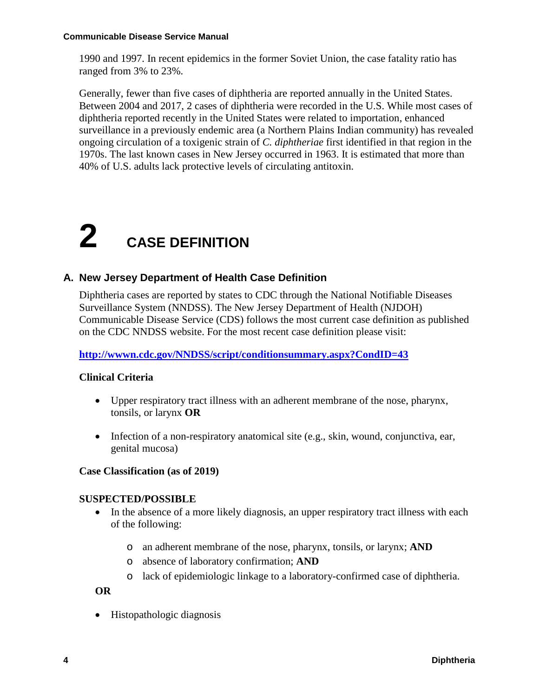1990 and 1997. In recent epidemics in the former Soviet Union, the case fatality ratio has ranged from 3% to 23%.

Generally, fewer than five cases of diphtheria are reported annually in the United States. Between 2004 and 2017, 2 cases of diphtheria were recorded in the U.S. While most cases of diphtheria reported recently in the United States were related to importation, enhanced surveillance in a previously endemic area (a Northern Plains Indian community) has revealed ongoing circulation of a toxigenic strain of *C. diphtheriae* first identified in that region in the 1970s. The last known cases in New Jersey occurred in 1963. It is estimated that more than 40% of U.S. adults lack protective levels of circulating antitoxin.

# **2 CASE DEFINITION**

#### **A. New Jersey Department of Health Case Definition**

Diphtheria cases are reported by states to CDC through the National Notifiable Diseases Surveillance System (NNDSS). The New Jersey Department of Health (NJDOH) Communicable Disease Service (CDS) follows the most current case definition as published on the CDC NNDSS website. For the most recent case definition please visit:

#### **<http://wwwn.cdc.gov/NNDSS/script/conditionsummary.aspx?CondID=43>**

#### **Clinical Criteria**

- Upper respiratory tract illness with an adherent membrane of the nose, pharynx, tonsils, or larynx **OR**
- Infection of a non-respiratory anatomical site (e.g., skin, wound, conjunctiva, ear, genital mucosa)

#### **Case Classification (as of 2019)**

#### **SUSPECTED/POSSIBLE**

- In the absence of a more likely diagnosis, an upper respiratory tract illness with each of the following:
	- o an adherent membrane of the nose, pharynx, tonsils, or larynx; **AND**
	- o absence of laboratory confirmation; **AND**
	- o lack of epidemiologic linkage to a laboratory-confirmed case of diphtheria.

**OR**

• Histopathologic diagnosis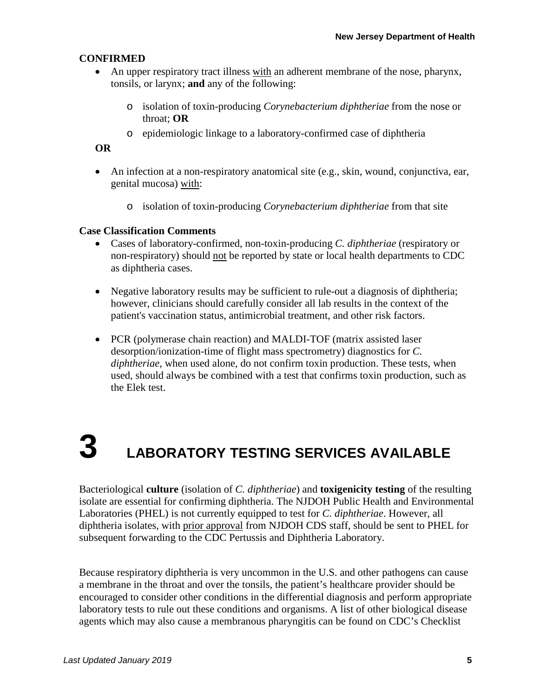#### **CONFIRMED**

- An upper respiratory tract illness with an adherent membrane of the nose, pharynx, tonsils, or larynx; **and** any of the following:
	- o isolation of toxin-producing *Corynebacterium diphtheriae* from the nose or throat; **OR**
	- o epidemiologic linkage to a laboratory-confirmed case of diphtheria

#### **OR**

- An infection at a non-respiratory anatomical site (e.g., skin, wound, conjunctiva, ear, genital mucosa) with:
	- o isolation of toxin-producing *Corynebacterium diphtheriae* from that site

#### **Case Classification Comments**

- Cases of laboratory-confirmed, non-toxin-producing *C. diphtheriae* (respiratory or non-respiratory) should not be reported by state or local health departments to CDC as diphtheria cases.
- Negative laboratory results may be sufficient to rule-out a diagnosis of diphtheria; however, clinicians should carefully consider all lab results in the context of the patient's vaccination status, antimicrobial treatment, and other risk factors.
- PCR (polymerase chain reaction) and MALDI-TOF (matrix assisted laser desorption/ionization-time of flight mass spectrometry) diagnostics for *C. diphtheriae*, when used alone, do not confirm toxin production. These tests, when used, should always be combined with a test that confirms toxin production, such as the Elek test.

# **3 LABORATORY TESTING SERVICES AVAILABLE**

Bacteriological **culture** (isolation of *C. diphtheriae*) and **toxigenicity testing** of the resulting isolate are essential for confirming diphtheria. The NJDOH Public Health and Environmental Laboratories (PHEL) is not currently equipped to test for *C. diphtheriae*. However, all diphtheria isolates, with prior approval from NJDOH CDS staff, should be sent to PHEL for subsequent forwarding to the CDC Pertussis and Diphtheria Laboratory.

Because respiratory diphtheria is very uncommon in the U.S. and other pathogens can cause a membrane in the throat and over the tonsils, the patient's healthcare provider should be encouraged to consider other conditions in the differential diagnosis and perform appropriate laboratory tests to rule out these conditions and organisms. A list of other biological disease agents which may also cause a membranous pharyngitis can be found on CDC's Checklist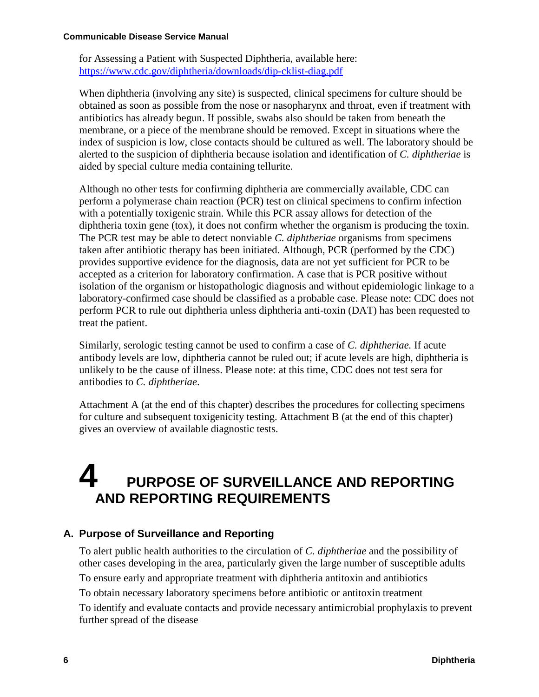for Assessing a Patient with Suspected Diphtheria, available here: <https://www.cdc.gov/diphtheria/downloads/dip-cklist-diag.pdf>

When diphtheria (involving any site) is suspected, clinical specimens for culture should be obtained as soon as possible from the nose or nasopharynx and throat, even if treatment with antibiotics has already begun. If possible, swabs also should be taken from beneath the membrane, or a piece of the membrane should be removed. Except in situations where the index of suspicion is low, close contacts should be cultured as well. The laboratory should be alerted to the suspicion of diphtheria because isolation and identification of *C. diphtheriae* is aided by special culture media containing tellurite.

Although no other tests for confirming diphtheria are commercially available, CDC can perform a polymerase chain reaction (PCR) test on clinical specimens to confirm infection with a potentially toxigenic strain. While this PCR assay allows for detection of the diphtheria toxin gene (tox), it does not confirm whether the organism is producing the toxin. The PCR test may be able to detect nonviable *C. diphtheriae* organisms from specimens taken after antibiotic therapy has been initiated. Although, PCR (performed by the CDC) provides supportive evidence for the diagnosis, data are not yet sufficient for PCR to be accepted as a criterion for laboratory confirmation. A case that is PCR positive without isolation of the organism or histopathologic diagnosis and without epidemiologic linkage to a laboratory-confirmed case should be classified as a probable case. Please note: CDC does not perform PCR to rule out diphtheria unless diphtheria anti-toxin (DAT) has been requested to treat the patient.

Similarly, serologic testing cannot be used to confirm a case of *C. diphtheriae.* If acute antibody levels are low, diphtheria cannot be ruled out; if acute levels are high, diphtheria is unlikely to be the cause of illness. Please note: at this time, CDC does not test sera for antibodies to *C. diphtheriae*.

Attachment A (at the end of this chapter) describes the procedures for collecting specimens for culture and subsequent toxigenicity testing. Attachment B (at the end of this chapter) gives an overview of available diagnostic tests.

### **4 PURPOSE OF SURVEILLANCE AND REPORTING AND REPORTING REQUIREMENTS**

#### **A. Purpose of Surveillance and Reporting**

To alert public health authorities to the circulation of *C. diphtheriae* and the possibility of other cases developing in the area, particularly given the large number of susceptible adults To ensure early and appropriate treatment with diphtheria antitoxin and antibiotics To obtain necessary laboratory specimens before antibiotic or antitoxin treatment To identify and evaluate contacts and provide necessary antimicrobial prophylaxis to prevent further spread of the disease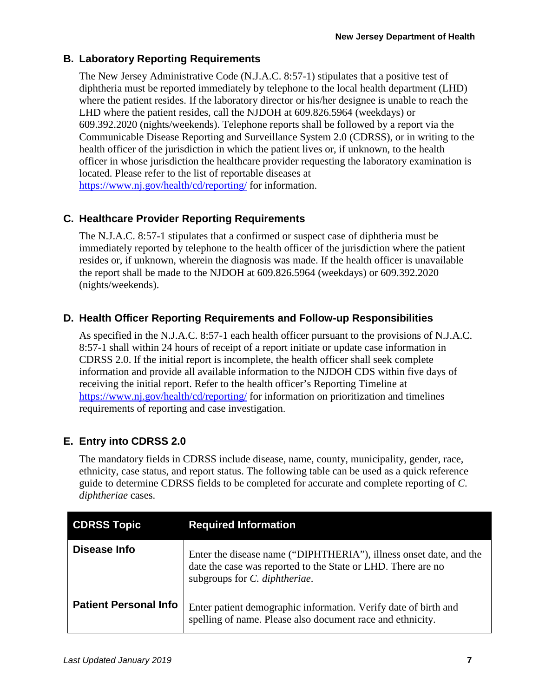#### **B. Laboratory Reporting Requirements**

The New Jersey Administrative Code (N.J.A.C. 8:57-1) stipulates that a positive test of diphtheria must be reported immediately by telephone to the local health department (LHD) where the patient resides. If the laboratory director or his/her designee is unable to reach the LHD where the patient resides, call the NJDOH at 609.826.5964 (weekdays) or 609.392.2020 (nights/weekends). Telephone reports shall be followed by a report via the Communicable Disease Reporting and Surveillance System 2.0 (CDRSS), or in writing to the health officer of the jurisdiction in which the patient lives or, if unknown, to the health officer in whose jurisdiction the healthcare provider requesting the laboratory examination is located. Please refer to the list of reportable diseases at <https://www.nj.gov/health/cd/reporting/> for information.

#### **C. Healthcare Provider Reporting Requirements**

The N.J.A.C. 8:57-1 stipulates that a confirmed or suspect case of diphtheria must be immediately reported by telephone to the health officer of the jurisdiction where the patient resides or, if unknown, wherein the diagnosis was made. If the health officer is unavailable the report shall be made to the NJDOH at 609.826.5964 (weekdays) or 609.392.2020 (nights/weekends).

#### **D. Health Officer Reporting Requirements and Follow-up Responsibilities**

As specified in the N.J.A.C. 8:57-1 each health officer pursuant to the provisions of N.J.A.C. 8:57-1 shall within 24 hours of receipt of a report initiate or update case information in CDRSS 2.0. If the initial report is incomplete, the health officer shall seek complete information and provide all available information to the NJDOH CDS within five days of receiving the initial report. Refer to the health officer's Reporting Timeline at <https://www.nj.gov/health/cd/reporting/> for information on prioritization and timelines requirements of reporting and case investigation.

#### **E. Entry into CDRSS 2.0**

The mandatory fields in CDRSS include disease, name, county, municipality, gender, race, ethnicity, case status, and report status. The following table can be used as a quick reference guide to determine CDRSS fields to be completed for accurate and complete reporting of *C. diphtheriae* cases.

| <b>CDRSS Topic</b>           | <b>Required Information</b>                                                                                                                                         |  |  |  |
|------------------------------|---------------------------------------------------------------------------------------------------------------------------------------------------------------------|--|--|--|
| Disease Info                 | Enter the disease name ("DIPHTHERIA"), illness onset date, and the<br>date the case was reported to the State or LHD. There are no<br>subgroups for C. diphtheriae. |  |  |  |
| <b>Patient Personal Info</b> | Enter patient demographic information. Verify date of birth and<br>spelling of name. Please also document race and ethnicity.                                       |  |  |  |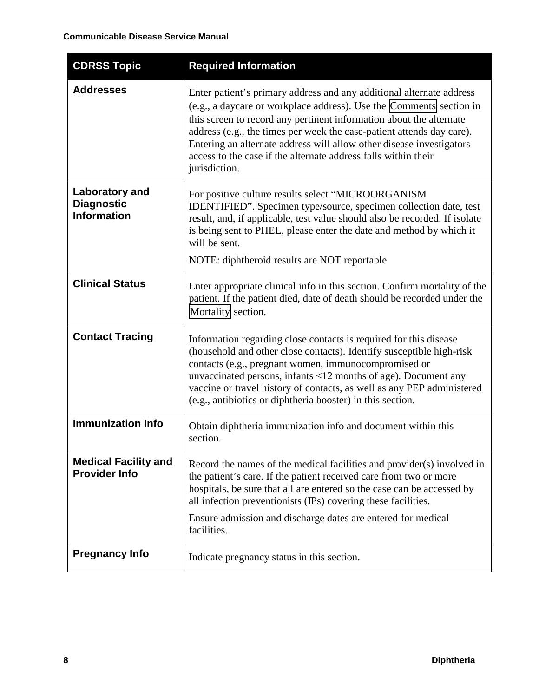| <b>CDRSS Topic</b>                                               | <b>Required Information</b>                                                                                                                                                                                                                                                                                                                                                                                                                            |  |  |  |
|------------------------------------------------------------------|--------------------------------------------------------------------------------------------------------------------------------------------------------------------------------------------------------------------------------------------------------------------------------------------------------------------------------------------------------------------------------------------------------------------------------------------------------|--|--|--|
| <b>Addresses</b>                                                 | Enter patient's primary address and any additional alternate address<br>(e.g., a daycare or workplace address). Use the Comments section in<br>this screen to record any pertinent information about the alternate<br>address (e.g., the times per week the case-patient attends day care).<br>Entering an alternate address will allow other disease investigators<br>access to the case if the alternate address falls within their<br>jurisdiction. |  |  |  |
| <b>Laboratory and</b><br><b>Diagnostic</b><br><b>Information</b> | For positive culture results select "MICROORGANISM<br>IDENTIFIED". Specimen type/source, specimen collection date, test<br>result, and, if applicable, test value should also be recorded. If isolate<br>is being sent to PHEL, please enter the date and method by which it<br>will be sent.<br>NOTE: diphtheroid results are NOT reportable                                                                                                          |  |  |  |
| <b>Clinical Status</b>                                           | Enter appropriate clinical info in this section. Confirm mortality of the<br>patient. If the patient died, date of death should be recorded under the<br>Mortality section.                                                                                                                                                                                                                                                                            |  |  |  |
| <b>Contact Tracing</b>                                           | Information regarding close contacts is required for this disease<br>(household and other close contacts). Identify susceptible high-risk<br>contacts (e.g., pregnant women, immunocompromised or<br>unvaccinated persons, infants <12 months of age). Document any<br>vaccine or travel history of contacts, as well as any PEP administered<br>(e.g., antibiotics or diphtheria booster) in this section.                                            |  |  |  |
| <b>Immunization Info</b>                                         | Obtain diphtheria immunization info and document within this<br>section.                                                                                                                                                                                                                                                                                                                                                                               |  |  |  |
| <b>Medical Facility and</b><br><b>Provider Info</b>              | Record the names of the medical facilities and provider(s) involved in<br>the patient's care. If the patient received care from two or more<br>hospitals, be sure that all are entered so the case can be accessed by<br>all infection preventionists (IPs) covering these facilities.<br>Ensure admission and discharge dates are entered for medical<br>facilities.                                                                                  |  |  |  |
| <b>Pregnancy Info</b>                                            | Indicate pregnancy status in this section.                                                                                                                                                                                                                                                                                                                                                                                                             |  |  |  |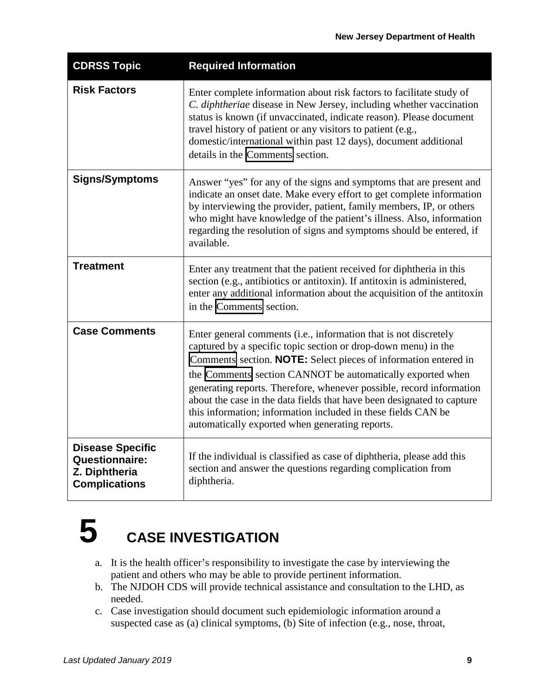| <b>CDRSS Topic</b>                                                                 | <b>Required Information</b>                                                                                                                                                                                                                                                                                                                                                                                                                                                                                                               |  |  |  |
|------------------------------------------------------------------------------------|-------------------------------------------------------------------------------------------------------------------------------------------------------------------------------------------------------------------------------------------------------------------------------------------------------------------------------------------------------------------------------------------------------------------------------------------------------------------------------------------------------------------------------------------|--|--|--|
| <b>Risk Factors</b>                                                                | Enter complete information about risk factors to facilitate study of<br>C. diphtheriae disease in New Jersey, including whether vaccination<br>status is known (if unvaccinated, indicate reason). Please document<br>travel history of patient or any visitors to patient (e.g.,<br>domestic/international within past 12 days), document additional<br>details in the Comments section.                                                                                                                                                 |  |  |  |
| <b>Signs/Symptoms</b>                                                              | Answer "yes" for any of the signs and symptoms that are present and<br>indicate an onset date. Make every effort to get complete information<br>by interviewing the provider, patient, family members, IP, or others<br>who might have knowledge of the patient's illness. Also, information<br>regarding the resolution of signs and symptoms should be entered, if<br>available.                                                                                                                                                        |  |  |  |
| <b>Treatment</b>                                                                   | Enter any treatment that the patient received for diphtheria in this<br>section (e.g., antibiotics or antitoxin). If antitoxin is administered,<br>enter any additional information about the acquisition of the antitoxin<br>in the Comments section.                                                                                                                                                                                                                                                                                    |  |  |  |
| <b>Case Comments</b>                                                               | Enter general comments (i.e., information that is not discretely<br>captured by a specific topic section or drop-down menu) in the<br>Comments section. NOTE: Select pieces of information entered in<br>the Comments section CANNOT be automatically exported when<br>generating reports. Therefore, whenever possible, record information<br>about the case in the data fields that have been designated to capture<br>this information; information included in these fields CAN be<br>automatically exported when generating reports. |  |  |  |
| <b>Disease Specific</b><br>Questionnaire:<br>Z. Diphtheria<br><b>Complications</b> | If the individual is classified as case of diphtheria, please add this<br>section and answer the questions regarding complication from<br>diphtheria.                                                                                                                                                                                                                                                                                                                                                                                     |  |  |  |

### **5 CASE INVESTIGATION**

- a. It is the health officer's responsibility to investigate the case by interviewing the patient and others who may be able to provide pertinent information.
- b. The NJDOH CDS will provide technical assistance and consultation to the LHD, as needed.
- c. Case investigation should document such epidemiologic information around a suspected case as (a) clinical symptoms, (b) Site of infection (e.g., nose, throat,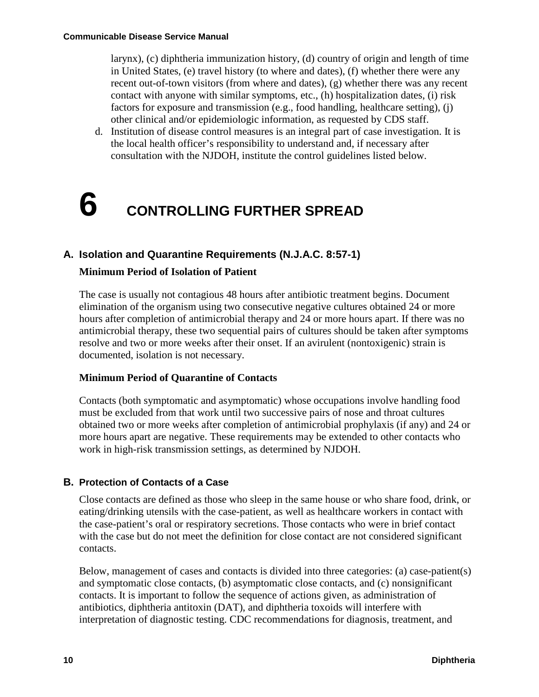larynx), (c) diphtheria immunization history, (d) country of origin and length of time in United States, (e) travel history (to where and dates), (f) whether there were any recent out-of-town visitors (from where and dates), (g) whether there was any recent contact with anyone with similar symptoms, etc., (h) hospitalization dates, (i) risk factors for exposure and transmission (e.g., food handling, healthcare setting), (j) other clinical and/or epidemiologic information, as requested by CDS staff.

d. Institution of disease control measures is an integral part of case investigation. It is the local health officer's responsibility to understand and, if necessary after consultation with the NJDOH, institute the control guidelines listed below.

# **6 CONTROLLING FURTHER SPREAD**

#### **A. Isolation and Quarantine Requirements (N.J.A.C. 8:57-1)**

#### **Minimum Period of Isolation of Patient**

The case is usually not contagious 48 hours after antibiotic treatment begins. Document elimination of the organism using two consecutive negative cultures obtained 24 or more hours after completion of antimicrobial therapy and 24 or more hours apart. If there was no antimicrobial therapy, these two sequential pairs of cultures should be taken after symptoms resolve and two or more weeks after their onset. If an avirulent (nontoxigenic) strain is documented, isolation is not necessary.

#### **Minimum Period of Quarantine of Contacts**

Contacts (both symptomatic and asymptomatic) whose occupations involve handling food must be excluded from that work until two successive pairs of nose and throat cultures obtained two or more weeks after completion of antimicrobial prophylaxis (if any) and 24 or more hours apart are negative. These requirements may be extended to other contacts who work in high-risk transmission settings, as determined by NJDOH.

#### **B. Protection of Contacts of a Case**

Close contacts are defined as those who sleep in the same house or who share food, drink, or eating/drinking utensils with the case-patient, as well as healthcare workers in contact with the case-patient's oral or respiratory secretions. Those contacts who were in brief contact with the case but do not meet the definition for close contact are not considered significant contacts.

Below, management of cases and contacts is divided into three categories: (a) case-patient(s) and symptomatic close contacts, (b) asymptomatic close contacts, and (c) nonsignificant contacts. It is important to follow the sequence of actions given, as administration of antibiotics, diphtheria antitoxin (DAT), and diphtheria toxoids will interfere with interpretation of diagnostic testing. CDC recommendations for diagnosis, treatment, and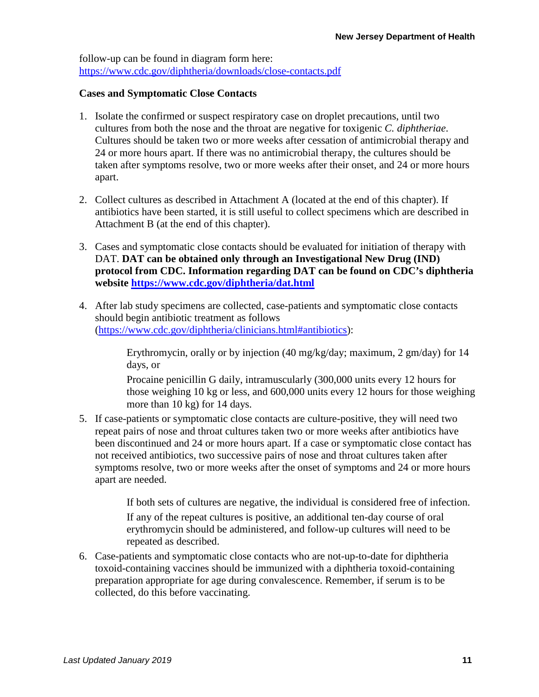follow-up can be found in diagram form here: <https://www.cdc.gov/diphtheria/downloads/close-contacts.pdf>

#### **Cases and Symptomatic Close Contacts**

- 1. Isolate the confirmed or suspect respiratory case on droplet precautions, until two cultures from both the nose and the throat are negative for toxigenic *C. diphtheriae*. Cultures should be taken two or more weeks after cessation of antimicrobial therapy and 24 or more hours apart. If there was no antimicrobial therapy, the cultures should be taken after symptoms resolve, two or more weeks after their onset, and 24 or more hours apart.
- 2. Collect cultures as described in Attachment A (located at the end of this chapter). If antibiotics have been started, it is still useful to collect specimens which are described in Attachment B (at the end of this chapter).
- 3. Cases and symptomatic close contacts should be evaluated for initiation of therapy with DAT. **DAT can be obtained only through an Investigational New Drug (IND) protocol from CDC. Information regarding DAT can be found on CDC's diphtheria website<https://www.cdc.gov/diphtheria/dat.html>**
- 4. After lab study specimens are collected, case-patients and symptomatic close contacts should begin antibiotic treatment as follows [\(https://www.cdc.gov/diphtheria/clinicians.html#antibiotics\)](https://www.cdc.gov/diphtheria/clinicians.html#antibiotics):

Erythromycin, orally or by injection (40 mg/kg/day; maximum, 2 gm/day) for 14 days, or

Procaine penicillin G daily, intramuscularly (300,000 units every 12 hours for those weighing 10 kg or less, and 600,000 units every 12 hours for those weighing more than 10 kg) for 14 days.

5. If case-patients or symptomatic close contacts are culture-positive, they will need two repeat pairs of nose and throat cultures taken two or more weeks after antibiotics have been discontinued and 24 or more hours apart. If a case or symptomatic close contact has not received antibiotics, two successive pairs of nose and throat cultures taken after symptoms resolve, two or more weeks after the onset of symptoms and 24 or more hours apart are needed.

If both sets of cultures are negative, the individual is considered free of infection.

If any of the repeat cultures is positive, an additional ten-day course of oral erythromycin should be administered, and follow-up cultures will need to be repeated as described.

6. Case-patients and symptomatic close contacts who are not-up-to-date for diphtheria toxoid-containing vaccines should be immunized with a diphtheria toxoid-containing preparation appropriate for age during convalescence. Remember, if serum is to be collected, do this before vaccinating.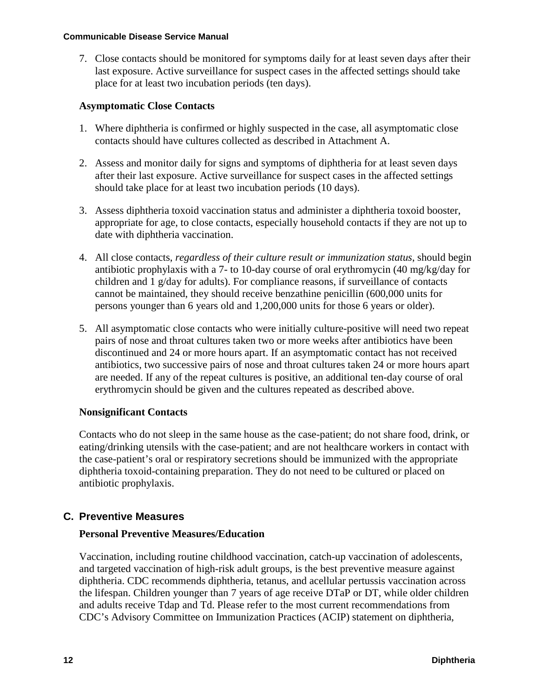7. Close contacts should be monitored for symptoms daily for at least seven days after their last exposure. Active surveillance for suspect cases in the affected settings should take place for at least two incubation periods (ten days).

#### **Asymptomatic Close Contacts**

- 1. Where diphtheria is confirmed or highly suspected in the case, all asymptomatic close contacts should have cultures collected as described in Attachment A.
- 2. Assess and monitor daily for signs and symptoms of diphtheria for at least seven days after their last exposure. Active surveillance for suspect cases in the affected settings should take place for at least two incubation periods (10 days).
- 3. Assess diphtheria toxoid vaccination status and administer a diphtheria toxoid booster, appropriate for age, to close contacts, especially household contacts if they are not up to date with diphtheria vaccination.
- 4. All close contacts, *regardless of their culture result or immunization status*, should begin antibiotic prophylaxis with a 7- to 10-day course of oral erythromycin (40 mg/kg/day for children and 1 g/day for adults). For compliance reasons, if surveillance of contacts cannot be maintained, they should receive benzathine penicillin (600,000 units for persons younger than 6 years old and 1,200,000 units for those 6 years or older).
- 5. All asymptomatic close contacts who were initially culture-positive will need two repeat pairs of nose and throat cultures taken two or more weeks after antibiotics have been discontinued and 24 or more hours apart. If an asymptomatic contact has not received antibiotics, two successive pairs of nose and throat cultures taken 24 or more hours apart are needed. If any of the repeat cultures is positive, an additional ten-day course of oral erythromycin should be given and the cultures repeated as described above.

#### **Nonsignificant Contacts**

Contacts who do not sleep in the same house as the case-patient; do not share food, drink, or eating/drinking utensils with the case-patient; and are not healthcare workers in contact with the case-patient's oral or respiratory secretions should be immunized with the appropriate diphtheria toxoid-containing preparation. They do not need to be cultured or placed on antibiotic prophylaxis.

#### **C. Preventive Measures**

#### **Personal Preventive Measures/Education**

Vaccination, including routine childhood vaccination, catch-up vaccination of adolescents, and targeted vaccination of high-risk adult groups, is the best preventive measure against diphtheria. CDC recommends diphtheria, tetanus, and acellular pertussis vaccination across the lifespan. Children younger than 7 years of age receive DTaP or DT, while older children and adults receive Tdap and Td. Please refer to the most current recommendations from CDC's Advisory Committee on Immunization Practices (ACIP) statement on diphtheria,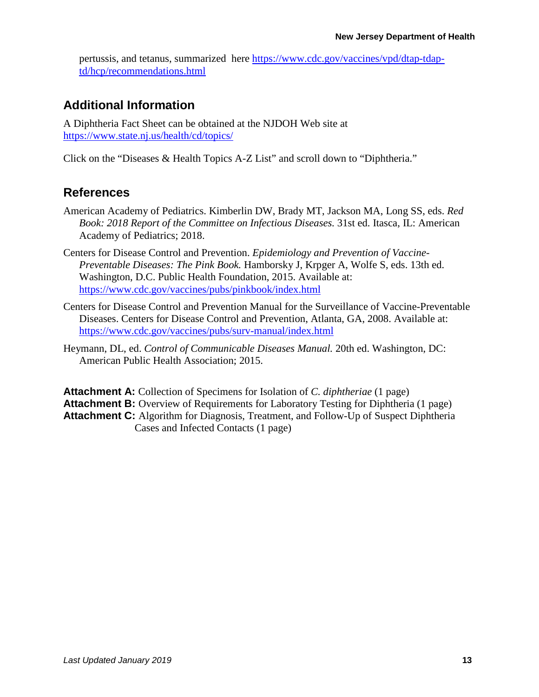pertussis, and tetanus, summarized here [https://www.cdc.gov/vaccines/vpd/dtap-tdap](https://www.cdc.gov/vaccines/vpd/dtap-tdap-td/hcp/recommendations.html)[td/hcp/recommendations.html](https://www.cdc.gov/vaccines/vpd/dtap-tdap-td/hcp/recommendations.html)

#### **Additional Information**

A Diphtheria Fact Sheet can be obtained at the NJDOH Web site at <https://www.state.nj.us/health/cd/topics/>

Click on the "Diseases & Health Topics A-Z List" and scroll down to "Diphtheria."

#### **References**

- American Academy of Pediatrics. Kimberlin DW, Brady MT, Jackson MA, Long SS, eds. *Red Book: 2018 Report of the Committee on Infectious Diseases.* 31st ed. Itasca, IL: American Academy of Pediatrics; 2018.
- Centers for Disease Control and Prevention. *Epidemiology and Prevention of Vaccine-Preventable Diseases: The Pink Book.* Hamborsky J, Krpger A, Wolfe S, eds. 13th ed. Washington, D.C. Public Health Foundation, 2015. Available at: <https://www.cdc.gov/vaccines/pubs/pinkbook/index.html>
- Centers for Disease Control and Prevention Manual for the Surveillance of Vaccine-Preventable Diseases. Centers for Disease Control and Prevention, Atlanta, GA, 2008. Available at: <https://www.cdc.gov/vaccines/pubs/surv-manual/index.html>
- Heymann, DL, ed. *Control of Communicable Diseases Manual.* 20th ed. Washington, DC: American Public Health Association; 2015.

**Attachment A:** Collection of Specimens for Isolation of *C. diphtheriae* (1 page) **Attachment B:** Overview of Requirements for Laboratory Testing for Diphtheria (1 page) Attachment C: Algorithm for Diagnosis, Treatment, and Follow-Up of Suspect Diphtheria Cases and Infected Contacts (1 page)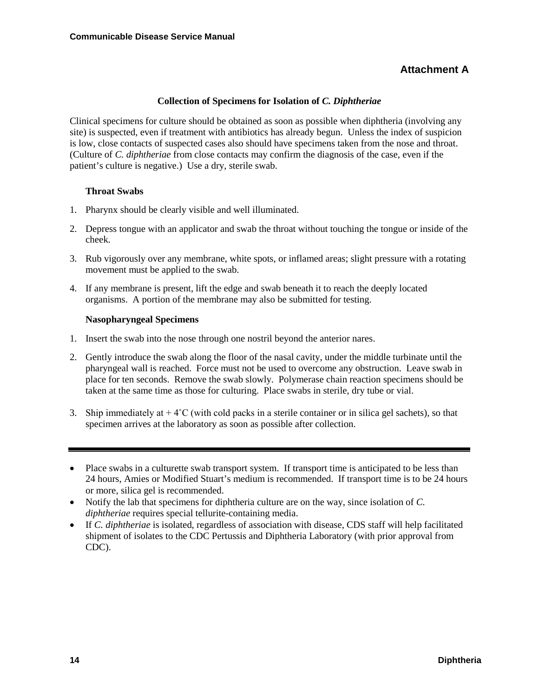#### **Attachment A**

#### **Collection of Specimens for Isolation of** *C. Diphtheriae*

Clinical specimens for culture should be obtained as soon as possible when diphtheria (involving any site) is suspected, even if treatment with antibiotics has already begun. Unless the index of suspicion is low, close contacts of suspected cases also should have specimens taken from the nose and throat. (Culture of *C. diphtheriae* from close contacts may confirm the diagnosis of the case, even if the patient's culture is negative.) Use a dry, sterile swab.

#### **Throat Swabs**

- 1. Pharynx should be clearly visible and well illuminated.
- 2. Depress tongue with an applicator and swab the throat without touching the tongue or inside of the cheek.
- 3. Rub vigorously over any membrane, white spots, or inflamed areas; slight pressure with a rotating movement must be applied to the swab.
- 4. If any membrane is present, lift the edge and swab beneath it to reach the deeply located organisms. A portion of the membrane may also be submitted for testing.

#### **Nasopharyngeal Specimens**

- 1. Insert the swab into the nose through one nostril beyond the anterior nares.
- 2. Gently introduce the swab along the floor of the nasal cavity, under the middle turbinate until the pharyngeal wall is reached. Force must not be used to overcome any obstruction. Leave swab in place for ten seconds. Remove the swab slowly. Polymerase chain reaction specimens should be taken at the same time as those for culturing. Place swabs in sterile, dry tube or vial.
- 3. Ship immediately at  $+4^{\circ}$ C (with cold packs in a sterile container or in silica gel sachets), so that specimen arrives at the laboratory as soon as possible after collection.

- Notify the lab that specimens for diphtheria culture are on the way, since isolation of *C. diphtheriae* requires special tellurite-containing media.
- If *C. diphtheriae* is isolated, regardless of association with disease, CDS staff will help facilitated shipment of isolates to the CDC Pertussis and Diphtheria Laboratory (with prior approval from CDC).

<sup>•</sup> Place swabs in a culturette swab transport system. If transport time is anticipated to be less than 24 hours, Amies or Modified Stuart's medium is recommended. If transport time is to be 24 hours or more, silica gel is recommended.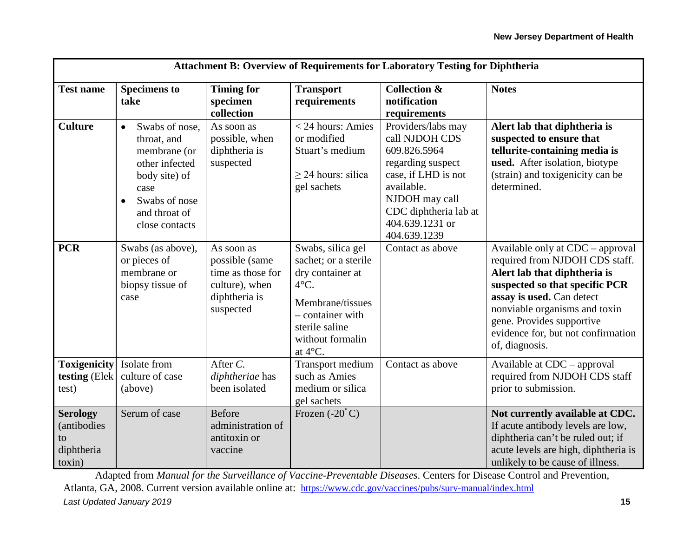| <b>Attachment B: Overview of Requirements for Laboratory Testing for Diphtheria</b> |                                                                                                                                                                        |                                                                                                   |                                                                                                                                                                          |                                                                                                                                                                                              |                                                                                                                                                                                                                                                                                         |  |  |
|-------------------------------------------------------------------------------------|------------------------------------------------------------------------------------------------------------------------------------------------------------------------|---------------------------------------------------------------------------------------------------|--------------------------------------------------------------------------------------------------------------------------------------------------------------------------|----------------------------------------------------------------------------------------------------------------------------------------------------------------------------------------------|-----------------------------------------------------------------------------------------------------------------------------------------------------------------------------------------------------------------------------------------------------------------------------------------|--|--|
| <b>Test name</b>                                                                    | <b>Specimens to</b><br>take                                                                                                                                            | <b>Timing for</b><br>specimen<br>collection                                                       | <b>Transport</b><br>requirements                                                                                                                                         | <b>Collection &amp;</b><br>notification<br>requirements                                                                                                                                      | <b>Notes</b>                                                                                                                                                                                                                                                                            |  |  |
| <b>Culture</b>                                                                      | Swabs of nose,<br>$\bullet$<br>throat, and<br>membrane (or<br>other infected<br>body site) of<br>case<br>Swabs of nose<br>$\bullet$<br>and throat of<br>close contacts | As soon as<br>possible, when<br>diphtheria is<br>suspected                                        | < 24 hours: Amies<br>or modified<br>Stuart's medium<br>$\geq$ 24 hours: silica<br>gel sachets                                                                            | Providers/labs may<br>call NJDOH CDS<br>609.826.5964<br>regarding suspect<br>case, if LHD is not<br>available.<br>NJDOH may call<br>CDC diphtheria lab at<br>404.639.1231 or<br>404.639.1239 | Alert lab that diphtheria is<br>suspected to ensure that<br>tellurite-containing media is<br>used. After isolation, biotype<br>(strain) and toxigenicity can be<br>determined.                                                                                                          |  |  |
| <b>PCR</b>                                                                          | Swabs (as above),<br>or pieces of<br>membrane or<br>biopsy tissue of<br>case                                                                                           | As soon as<br>possible (same<br>time as those for<br>culture), when<br>diphtheria is<br>suspected | Swabs, silica gel<br>sachet; or a sterile<br>dry container at<br>$4^{\circ}$ C.<br>Membrane/tissues<br>- container with<br>sterile saline<br>without formalin<br>at 4°C. | Contact as above                                                                                                                                                                             | Available only at CDC – approval<br>required from NJDOH CDS staff.<br>Alert lab that diphtheria is<br>suspected so that specific PCR<br>assay is used. Can detect<br>nonviable organisms and toxin<br>gene. Provides supportive<br>evidence for, but not confirmation<br>of, diagnosis. |  |  |
| <b>Toxigenicity</b><br>testing (Elek<br>test)                                       | Isolate from<br>culture of case<br>(above)                                                                                                                             | After $C$ .<br>diphtheriae has<br>been isolated                                                   | Transport medium<br>such as Amies<br>medium or silica<br>gel sachets                                                                                                     | Contact as above                                                                                                                                                                             | Available at CDC – approval<br>required from NJDOH CDS staff<br>prior to submission.                                                                                                                                                                                                    |  |  |
| <b>Serology</b><br>(antibodies<br>to<br>diphtheria<br>toxin)                        | Serum of case                                                                                                                                                          | <b>Before</b><br>administration of<br>antitoxin or<br>vaccine                                     | Frozen $(-20^{\circ}C)$                                                                                                                                                  |                                                                                                                                                                                              | Not currently available at CDC.<br>If acute antibody levels are low,<br>diphtheria can't be ruled out; if<br>acute levels are high, diphtheria is<br>unlikely to be cause of illness.                                                                                                   |  |  |

*Last Updated January 2019* **15** Adapted from *Manual for the Surveillance of Vaccine-Preventable Diseases*. Centers for Disease Control and Prevention, Atlanta, GA, 2008. Current version available online at: <https://www.cdc.gov/vaccines/pubs/surv-manual/index.html>